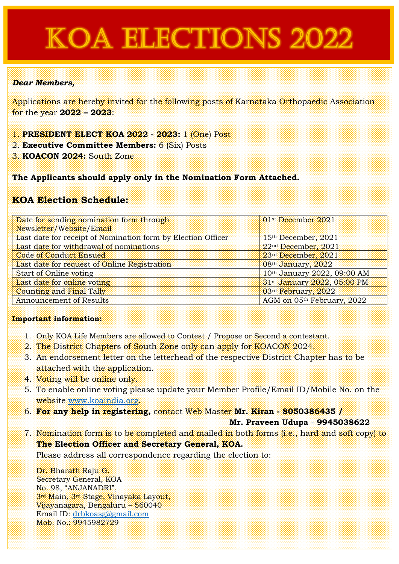# **KOA ELECTIONS 2022**

### *Dear Members,*

Applications are hereby invited for the following posts of Karnataka Orthopaedic Association for the year **2022 – 2023**:

- 1. **PRESIDENT ELECT KOA 2022 - 2023:** 1 (One) Post
- 2. **Executive Committee Members:** 6 (Six) Posts
- 3. **KOACON 2024:** South Zone

**The Applicants should apply only in the Nomination Form Attached.**

## **KOA Election Schedule:**

| Date for sending nomination form through                     | 01 <sup>st</sup> December 2021  |  |
|--------------------------------------------------------------|---------------------------------|--|
| Newsletter/Website/Email                                     |                                 |  |
| Last date for receipt of Nomination form by Election Officer | 15th December, 2021             |  |
| Last date for withdrawal of nominations                      | 22 <sup>nd</sup> December, 2021 |  |
| Code of Conduct Ensued                                       | 23rd December, 2021             |  |
| Last date for request of Online Registration                 | $08th$ January, $2022$          |  |
| Start of Online voting                                       | 10th January 2022, 09:00 AM     |  |
| Last date for online voting                                  | 31st January 2022, 05:00 PM     |  |
| Counting and Final Tally                                     | 03rd February, 2022             |  |
| <b>Announcement of Results</b>                               | AGM on 05th February, 2022      |  |

#### **Important information:**

- 1. Only KOA Life Members are allowed to Contest / Propose or Second a contestant.
- 2. The District Chapters of South Zone only can apply for KOACON 2024.
- 3. An endorsement letter on the letterhead of the respective District Chapter has to be attached with the application.
- 4. Voting will be online only.
- 5. To enable online voting please update your Member Profile/Email ID/Mobile No. on the website [www.koaindia.org.](http://www.koaindia.org/)
- 6. **For any help in registering,** contact Web Master **Mr. Kiran - 8050386435 /**

**Mr. Praveen Udupa** - **9945038622**

7. Nomination form is to be completed and mailed in both forms (i.e., hard and soft copy) to **The Election Officer and Secretary General, KOA.**

Please address all correspondence regarding the election to:

Dr. Bharath Raju G. Secretary General, KOA No. 98, "ANJANADRI", 3rd Main, 3rd Stage, Vinayaka Layout, Vijayanagara, Bengaluru – 560040 Email ID: [drbkoasg@gmail.com](mailto:drbkoasg@gmail.com) Mob. No.: 9945982729